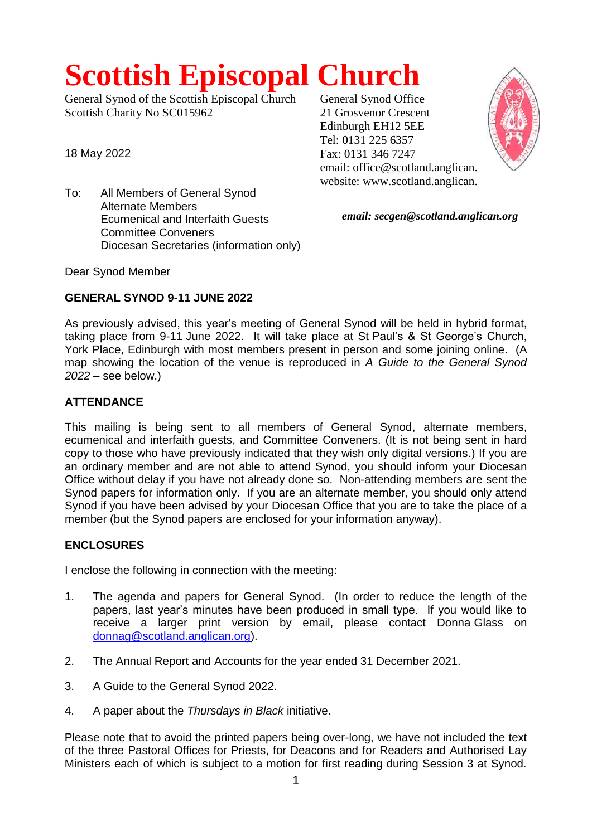# **Scottish Episcopal Church**

General Synod of the Scottish Episcopal Church Scottish Charity No SC015962

18 May 2022

To: All Members of General Synod Alternate Members Ecumenical and Interfaith Guests Committee Conveners Diocesan Secretaries (information only) General Synod Office 21 Grosvenor Crescent Edinburgh EH12 5EE Tel: 0131 225 6357 Fax: 0131 346 7247 email: office@scotland.anglican. website: www.scotland.anglican.



*email: secgen@scotland.anglican.org*

Dear Synod Member

## **GENERAL SYNOD 9-11 JUNE 2022**

As previously advised, this year's meeting of General Synod will be held in hybrid format, taking place from 9-11 June 2022. It will take place at St Paul's & St George's Church, York Place, Edinburgh with most members present in person and some joining online. (A map showing the location of the venue is reproduced in *A Guide to the General Synod 2022* – see below.)

## **ATTENDANCE**

This mailing is being sent to all members of General Synod, alternate members, ecumenical and interfaith guests, and Committee Conveners. (It is not being sent in hard copy to those who have previously indicated that they wish only digital versions.) If you are an ordinary member and are not able to attend Synod, you should inform your Diocesan Office without delay if you have not already done so. Non-attending members are sent the Synod papers for information only. If you are an alternate member, you should only attend Synod if you have been advised by your Diocesan Office that you are to take the place of a member (but the Synod papers are enclosed for your information anyway).

# **ENCLOSURES**

I enclose the following in connection with the meeting:

- 1. The agenda and papers for General Synod. (In order to reduce the length of the papers, last year's minutes have been produced in small type. If you would like to receive a larger print version by email, please contact Donna Glass on [donnag@scotland.anglican.org\)](mailto:donnag@scotland.anglican.org).
- 2. The Annual Report and Accounts for the year ended 31 December 2021.
- 3. A Guide to the General Synod 2022.
- 4. A paper about the *Thursdays in Black* initiative.

Please note that to avoid the printed papers being over-long, we have not included the text of the three Pastoral Offices for Priests, for Deacons and for Readers and Authorised Lay Ministers each of which is subject to a motion for first reading during Session 3 at Synod.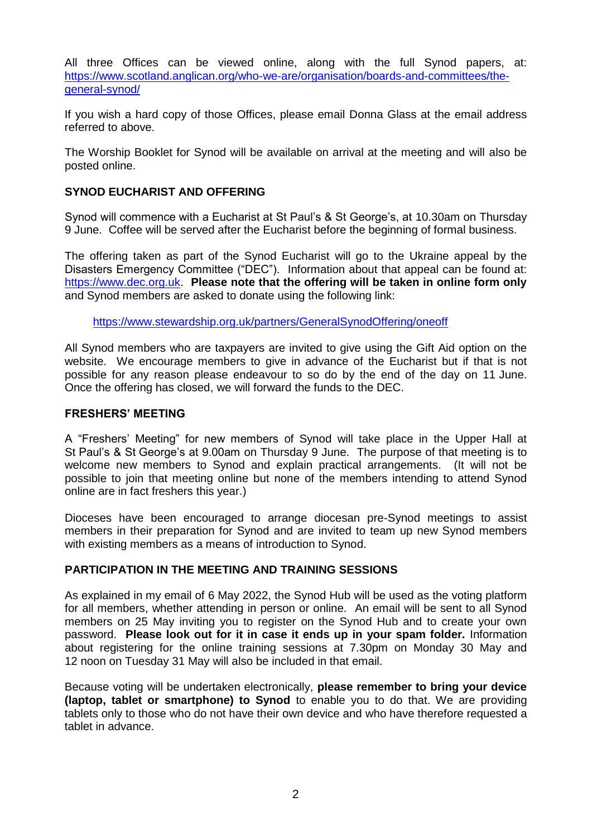All three Offices can be viewed online, along with the full Synod papers, at: [https://www.scotland.anglican.org/who-we-are/organisation/boards-and-committees/the](https://www.scotland.anglican.org/who-we-are/organisation/boards-and-committees/the-general-synod/)[general-synod/](https://www.scotland.anglican.org/who-we-are/organisation/boards-and-committees/the-general-synod/)

If you wish a hard copy of those Offices, please email Donna Glass at the email address referred to above.

The Worship Booklet for Synod will be available on arrival at the meeting and will also be posted online.

### **SYNOD EUCHARIST AND OFFERING**

Synod will commence with a Eucharist at St Paul's & St George's, at 10.30am on Thursday 9 June. Coffee will be served after the Eucharist before the beginning of formal business.

The offering taken as part of the Synod Eucharist will go to the Ukraine appeal by the Disasters Emergency Committee ("DEC"). Information about that appeal can be found at: [https://www.dec.org.uk.](https://www.dec.org.uk/) **Please note that the offering will be taken in online form only** and Synod members are asked to donate using the following link:

<https://www.stewardship.org.uk/partners/GeneralSynodOffering/oneoff>

All Synod members who are taxpayers are invited to give using the Gift Aid option on the website. We encourage members to give in advance of the Eucharist but if that is not possible for any reason please endeavour to so do by the end of the day on 11 June. Once the offering has closed, we will forward the funds to the DEC.

#### **FRESHERS' MEETING**

A "Freshers' Meeting" for new members of Synod will take place in the Upper Hall at St Paul's & St George's at 9.00am on Thursday 9 June. The purpose of that meeting is to welcome new members to Synod and explain practical arrangements. (It will not be possible to join that meeting online but none of the members intending to attend Synod online are in fact freshers this year.)

Dioceses have been encouraged to arrange diocesan pre-Synod meetings to assist members in their preparation for Synod and are invited to team up new Synod members with existing members as a means of introduction to Synod.

#### **PARTICIPATION IN THE MEETING AND TRAINING SESSIONS**

As explained in my email of 6 May 2022, the Synod Hub will be used as the voting platform for all members, whether attending in person or online. An email will be sent to all Synod members on 25 May inviting you to register on the Synod Hub and to create your own password. **Please look out for it in case it ends up in your spam folder.** Information about registering for the online training sessions at 7.30pm on Monday 30 May and 12 noon on Tuesday 31 May will also be included in that email.

Because voting will be undertaken electronically, **please remember to bring your device (laptop, tablet or smartphone) to Synod** to enable you to do that. We are providing tablets only to those who do not have their own device and who have therefore requested a tablet in advance.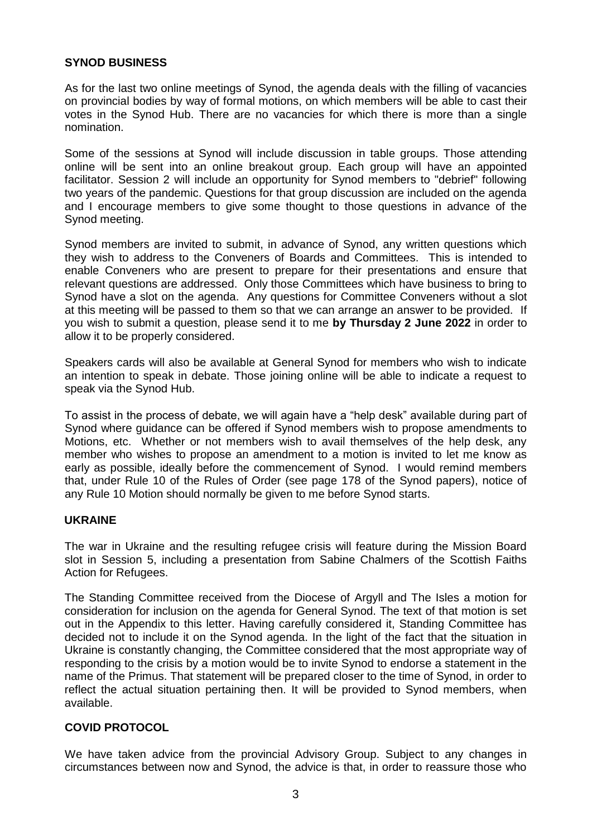## **SYNOD BUSINESS**

As for the last two online meetings of Synod, the agenda deals with the filling of vacancies on provincial bodies by way of formal motions, on which members will be able to cast their votes in the Synod Hub. There are no vacancies for which there is more than a single nomination.

Some of the sessions at Synod will include discussion in table groups. Those attending online will be sent into an online breakout group. Each group will have an appointed facilitator. Session 2 will include an opportunity for Synod members to "debrief" following two years of the pandemic. Questions for that group discussion are included on the agenda and I encourage members to give some thought to those questions in advance of the Synod meeting.

Synod members are invited to submit, in advance of Synod, any written questions which they wish to address to the Conveners of Boards and Committees. This is intended to enable Conveners who are present to prepare for their presentations and ensure that relevant questions are addressed. Only those Committees which have business to bring to Synod have a slot on the agenda. Any questions for Committee Conveners without a slot at this meeting will be passed to them so that we can arrange an answer to be provided. If you wish to submit a question, please send it to me **by Thursday 2 June 2022** in order to allow it to be properly considered.

Speakers cards will also be available at General Synod for members who wish to indicate an intention to speak in debate. Those joining online will be able to indicate a request to speak via the Synod Hub.

To assist in the process of debate, we will again have a "help desk" available during part of Synod where guidance can be offered if Synod members wish to propose amendments to Motions, etc. Whether or not members wish to avail themselves of the help desk, any member who wishes to propose an amendment to a motion is invited to let me know as early as possible, ideally before the commencement of Synod. I would remind members that, under Rule 10 of the Rules of Order (see page 178 of the Synod papers), notice of any Rule 10 Motion should normally be given to me before Synod starts.

#### **UKRAINE**

The war in Ukraine and the resulting refugee crisis will feature during the Mission Board slot in Session 5, including a presentation from Sabine Chalmers of the Scottish Faiths Action for Refugees.

The Standing Committee received from the Diocese of Argyll and The Isles a motion for consideration for inclusion on the agenda for General Synod. The text of that motion is set out in the Appendix to this letter. Having carefully considered it, Standing Committee has decided not to include it on the Synod agenda. In the light of the fact that the situation in Ukraine is constantly changing, the Committee considered that the most appropriate way of responding to the crisis by a motion would be to invite Synod to endorse a statement in the name of the Primus. That statement will be prepared closer to the time of Synod, in order to reflect the actual situation pertaining then. It will be provided to Synod members, when available.

## **COVID PROTOCOL**

We have taken advice from the provincial Advisory Group. Subject to any changes in circumstances between now and Synod, the advice is that, in order to reassure those who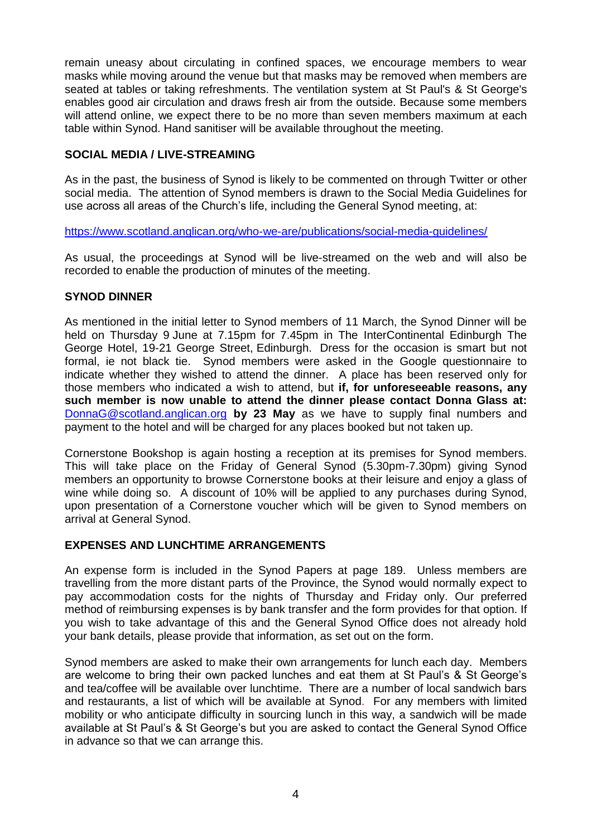remain uneasy about circulating in confined spaces, we encourage members to wear masks while moving around the venue but that masks may be removed when members are seated at tables or taking refreshments. The ventilation system at St Paul's & St George's enables good air circulation and draws fresh air from the outside. Because some members will attend online, we expect there to be no more than seven members maximum at each table within Synod. Hand sanitiser will be available throughout the meeting.

## **SOCIAL MEDIA / LIVE-STREAMING**

As in the past, the business of Synod is likely to be commented on through Twitter or other social media. The attention of Synod members is drawn to the Social Media Guidelines for use across all areas of the Church's life, including the General Synod meeting, at:

<https://www.scotland.anglican.org/who-we-are/publications/social-media-guidelines/>

As usual, the proceedings at Synod will be live-streamed on the web and will also be recorded to enable the production of minutes of the meeting.

### **SYNOD DINNER**

As mentioned in the initial letter to Synod members of 11 March, the Synod Dinner will be held on Thursday 9 June at 7.15pm for 7.45pm in The InterContinental Edinburgh The George Hotel, 19-21 George Street, Edinburgh. Dress for the occasion is smart but not formal, ie not black tie. Synod members were asked in the Google questionnaire to indicate whether they wished to attend the dinner. A place has been reserved only for those members who indicated a wish to attend, but **if, for unforeseeable reasons, any such member is now unable to attend the dinner please contact Donna Glass at:**  [DonnaG@scotland.anglican.org](mailto:DonnaG@scotland.anglican.org) **by 23 May** as we have to supply final numbers and payment to the hotel and will be charged for any places booked but not taken up.

Cornerstone Bookshop is again hosting a reception at its premises for Synod members. This will take place on the Friday of General Synod (5.30pm-7.30pm) giving Synod members an opportunity to browse Cornerstone books at their leisure and enjoy a glass of wine while doing so. A discount of 10% will be applied to any purchases during Synod, upon presentation of a Cornerstone voucher which will be given to Synod members on arrival at General Synod.

## **EXPENSES AND LUNCHTIME ARRANGEMENTS**

An expense form is included in the Synod Papers at page 189. Unless members are travelling from the more distant parts of the Province, the Synod would normally expect to pay accommodation costs for the nights of Thursday and Friday only. Our preferred method of reimbursing expenses is by bank transfer and the form provides for that option. If you wish to take advantage of this and the General Synod Office does not already hold your bank details, please provide that information, as set out on the form.

Synod members are asked to make their own arrangements for lunch each day. Members are welcome to bring their own packed lunches and eat them at St Paul's & St George's and tea/coffee will be available over lunchtime. There are a number of local sandwich bars and restaurants, a list of which will be available at Synod. For any members with limited mobility or who anticipate difficulty in sourcing lunch in this way, a sandwich will be made available at St Paul's & St George's but you are asked to contact the General Synod Office in advance so that we can arrange this.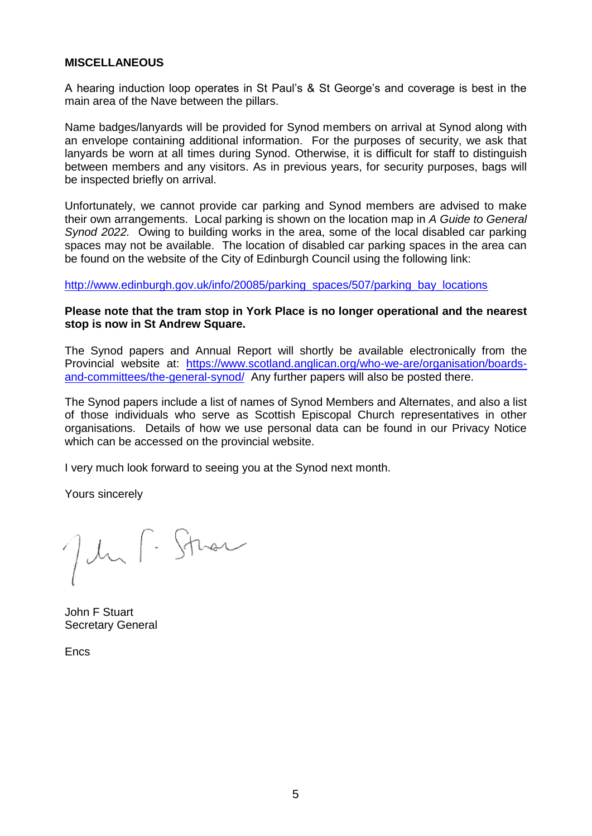#### **MISCELLANEOUS**

A hearing induction loop operates in St Paul's & St George's and coverage is best in the main area of the Nave between the pillars.

Name badges/lanyards will be provided for Synod members on arrival at Synod along with an envelope containing additional information. For the purposes of security, we ask that lanyards be worn at all times during Synod. Otherwise, it is difficult for staff to distinguish between members and any visitors. As in previous years, for security purposes, bags will be inspected briefly on arrival.

Unfortunately, we cannot provide car parking and Synod members are advised to make their own arrangements. Local parking is shown on the location map in *A Guide to General Synod 2022.* Owing to building works in the area, some of the local disabled car parking spaces may not be available. The location of disabled car parking spaces in the area can be found on the website of the City of Edinburgh Council using the following link:

[http://www.edinburgh.gov.uk/info/20085/parking\\_spaces/507/parking\\_bay\\_locations](http://www.edinburgh.gov.uk/info/20085/parking_spaces/507/parking_bay_locations)

#### **Please note that the tram stop in York Place is no longer operational and the nearest stop is now in St Andrew Square.**

The Synod papers and Annual Report will shortly be available electronically from the Provincial website at: [https://www.scotland.anglican.org/who-we-are/organisation/boards](https://www.scotland.anglican.org/who-we-are/organisation/boards-and-committees/the-general-synod/)[and-committees/the-general-synod/](https://www.scotland.anglican.org/who-we-are/organisation/boards-and-committees/the-general-synod/) Any further papers will also be posted there.

The Synod papers include a list of names of Synod Members and Alternates, and also a list of those individuals who serve as Scottish Episcopal Church representatives in other organisations. Details of how we use personal data can be found in our Privacy Notice which can be accessed on the provincial website.

I very much look forward to seeing you at the Synod next month.

Yours sincerely

Jehn F. Sthar

John F Stuart Secretary General

**Encs**